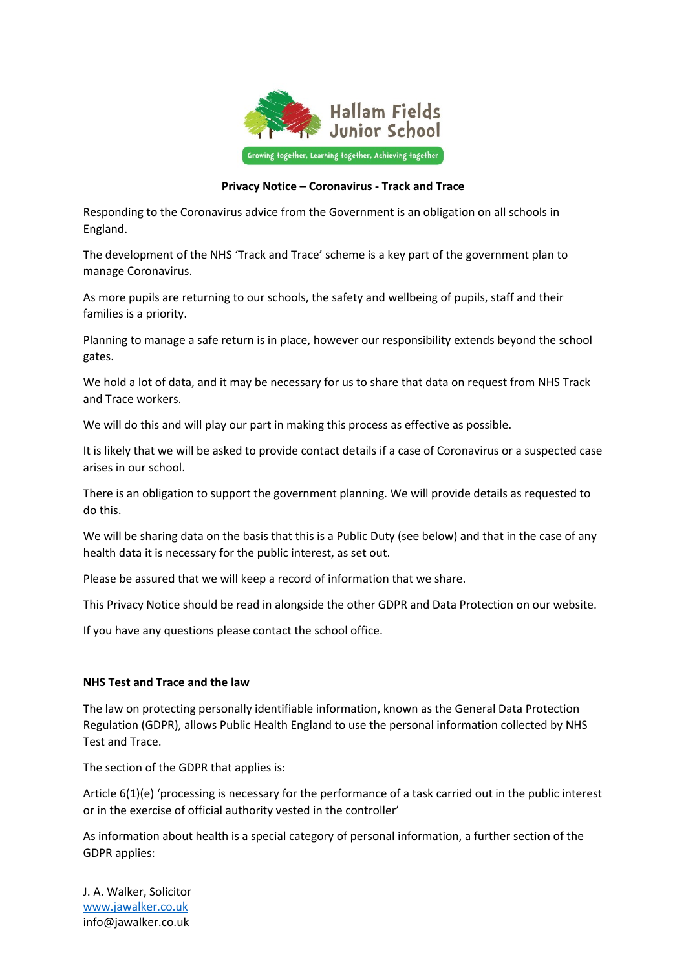

## **Privacy Notice – Coronavirus - Track and Trace**

Responding to the Coronavirus advice from the Government is an obligation on all schools in England.

The development of the NHS 'Track and Trace' scheme is a key part of the government plan to manage Coronavirus.

As more pupils are returning to our schools, the safety and wellbeing of pupils, staff and their families is a priority.

Planning to manage a safe return is in place, however our responsibility extends beyond the school gates.

We hold a lot of data, and it may be necessary for us to share that data on request from NHS Track and Trace workers.

We will do this and will play our part in making this process as effective as possible.

It is likely that we will be asked to provide contact details if a case of Coronavirus or a suspected case arises in our school.

There is an obligation to support the government planning. We will provide details as requested to do this.

We will be sharing data on the basis that this is a Public Duty (see below) and that in the case of any health data it is necessary for the public interest, as set out.

Please be assured that we will keep a record of information that we share.

This Privacy Notice should be read in alongside the other GDPR and Data Protection on our website.

If you have any questions please contact the school office.

## **NHS Test and Trace and the law**

The law on protecting personally identifiable information, known as the General Data Protection Regulation (GDPR), allows Public Health England to use the personal information collected by NHS Test and Trace.

The section of the GDPR that applies is:

Article 6(1)(e) 'processing is necessary for the performance of a task carried out in the public interest or in the exercise of official authority vested in the controller'

As information about health is a special category of personal information, a further section of the GDPR applies:

J. A. Walker, Solicitor www.jawalker.co.uk info@jawalker.co.uk